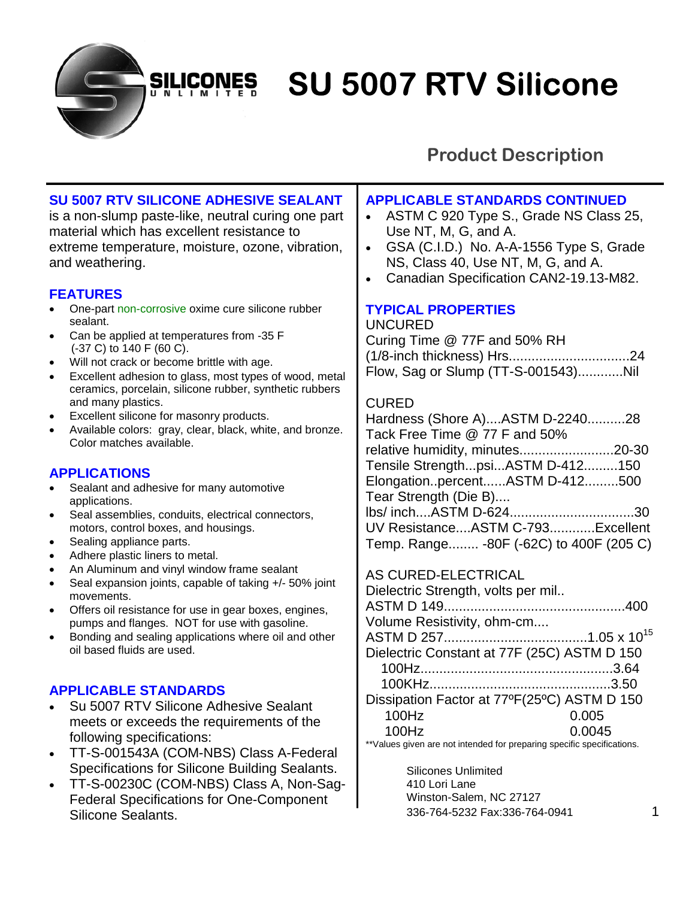**SU 5007 RTV Silicone** 

### **Product Description**

### **SU 5007 RTV SILICONE ADHESIVE SEALANT**

**SILICONES** NLIMI

is a non-slump paste-like, neutral curing one part material which has excellent resistance to extreme temperature, moisture, ozone, vibration, and weathering.

#### **FEATURES**

- One-part non-corrosive oxime cure silicone rubber sealant.
- Can be applied at temperatures from -35 F (-37 C) to 140 F (60 C).
- Will not crack or become brittle with age.
- Excellent adhesion to glass, most types of wood, metal ceramics, porcelain, silicone rubber, synthetic rubbers and many plastics.
- Excellent silicone for masonry products.
- Available colors: gray, clear, black, white, and bronze. Color matches available.

#### **APPLICATIONS**

- Sealant and adhesive for many automotive applications.
- Seal assemblies, conduits, electrical connectors, motors, control boxes, and housings.
- Sealing appliance parts.
- Adhere plastic liners to metal.
- An Aluminum and vinyl window frame sealant
- Seal expansion joints, capable of taking +/- 50% joint movements.
- Offers oil resistance for use in gear boxes, engines, pumps and flanges. NOT for use with gasoline.
- Bonding and sealing applications where oil and other oil based fluids are used.

#### **APPLICABLE STANDARDS**

- Su 5007 RTV Silicone Adhesive Sealant meets or exceeds the requirements of the following specifications:
- TT-S-001543A (COM-NBS) Class A-Federal Specifications for Silicone Building Sealants.
- TT-S-00230C (COM-NBS) Class A, Non-Sag-Federal Specifications for One-Component Silicone Sealants.

#### **APPLICABLE STANDARDS CONTINUED**

- ASTM C 920 Type S., Grade NS Class 25, Use NT, M, G, and A.
- GSA (C.I.D.) No. A-A-1556 Type S, Grade NS, Class 40, Use NT, M, G, and A.
- Canadian Specification CAN2-19.13-M82.

#### **TYPICAL PROPERTIES**

#### UNCURED

Curing Time @ 77F and 50% RH (1/8-inch thickness) Hrs................................24 Flow, Sag or Slump (TT-S-001543)............Nil

#### CURED

Hardness (Shore A)....ASTM D-2240..........28 Tack Free Time @ 77 F and 50% relative humidity, minutes.........................20-30 Tensile Strength...psi...ASTM D-412.........150 Elongation..percent......ASTM D-412.........500 Tear Strength (Die B).... lbs/ inch....ASTM D-624.................................30 UV Resistance....ASTM C-793............Excellent Temp. Range........ -80F (-62C) to 400F (205 C)

#### AS CURED-ELECTRICAL

| Dielectric Strength, volts per mil          |        |
|---------------------------------------------|--------|
|                                             |        |
| Volume Resistivity, ohm-cm                  |        |
|                                             |        |
| Dielectric Constant at 77F (25C) ASTM D 150 |        |
|                                             |        |
|                                             |        |
| Dissipation Factor at 77°F(25°C) ASTM D 150 |        |
| 100Hz                                       | 0.005  |
| 100Hz                                       | 0.0045 |

\*\*Values given are not intended for preparing specific specifications.

Silicones Unlimited 410 Lori Lane Winston-Salem, NC 27127 336-764-5232 Fax:336-764-0941 1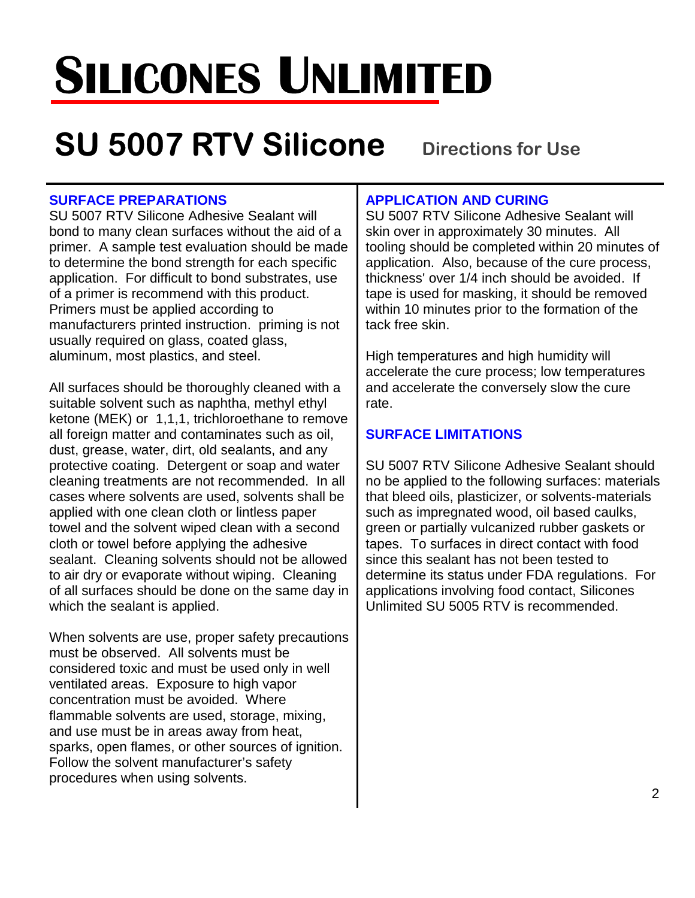# **SILICONES UNLIMITED**

## **SU 5007 RTV Silicone** Directions for Use

#### **SURFACE PREPARATIONS**

SU 5007 RTV Silicone Adhesive Sealant will bond to many clean surfaces without the aid of a primer. A sample test evaluation should be made to determine the bond strength for each specific application. For difficult to bond substrates, use of a primer is recommend with this product. Primers must be applied according to manufacturers printed instruction. priming is not usually required on glass, coated glass, aluminum, most plastics, and steel.

All surfaces should be thoroughly cleaned with a suitable solvent such as naphtha, methyl ethyl ketone (MEK) or 1,1,1, trichloroethane to remove all foreign matter and contaminates such as oil, dust, grease, water, dirt, old sealants, and any protective coating. Detergent or soap and water cleaning treatments are not recommended. In all cases where solvents are used, solvents shall be applied with one clean cloth or lintless paper towel and the solvent wiped clean with a second cloth or towel before applying the adhesive sealant. Cleaning solvents should not be allowed to air dry or evaporate without wiping. Cleaning of all surfaces should be done on the same day in which the sealant is applied.

When solvents are use, proper safety precautions must be observed. All solvents must be considered toxic and must be used only in well ventilated areas. Exposure to high vapor concentration must be avoided. Where flammable solvents are used, storage, mixing, and use must be in areas away from heat, sparks, open flames, or other sources of ignition. Follow the solvent manufacturer's safety procedures when using solvents.

#### **APPLICATION AND CURING**

SU 5007 RTV Silicone Adhesive Sealant will skin over in approximately 30 minutes. All tooling should be completed within 20 minutes of application. Also, because of the cure process, thickness' over 1/4 inch should be avoided. If tape is used for masking, it should be removed within 10 minutes prior to the formation of the tack free skin.

High temperatures and high humidity will accelerate the cure process; low temperatures and accelerate the conversely slow the cure rate.

#### **SURFACE LIMITATIONS**

SU 5007 RTV Silicone Adhesive Sealant should no be applied to the following surfaces: materials that bleed oils, plasticizer, or solvents-materials such as impregnated wood, oil based caulks, green or partially vulcanized rubber gaskets or tapes. To surfaces in direct contact with food since this sealant has not been tested to determine its status under FDA regulations. For applications involving food contact, Silicones Unlimited SU 5005 RTV is recommended.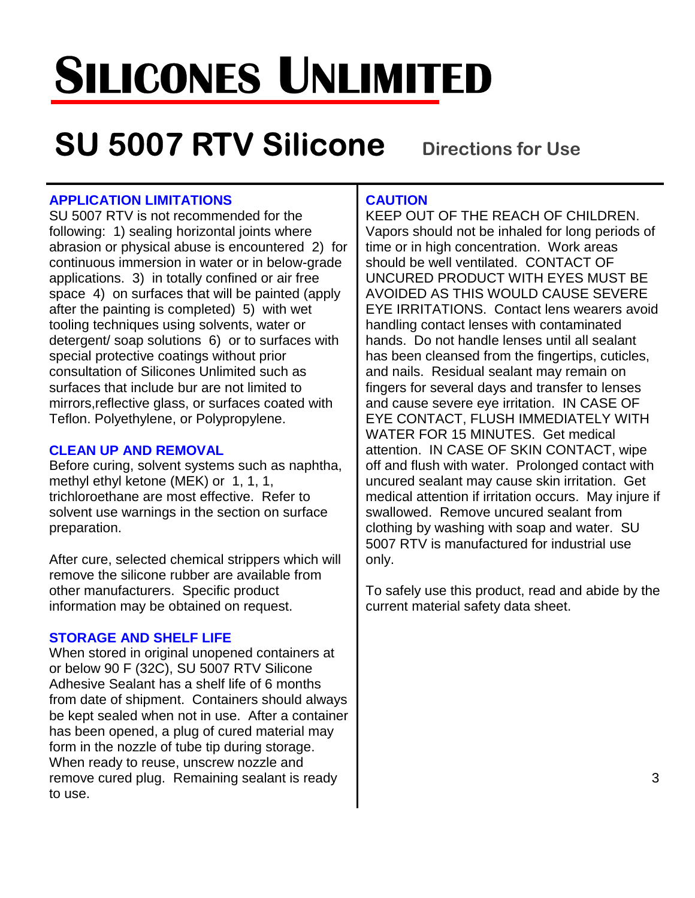# **SILICONES UNLIMITED**

## **SU 5007 RTV Silicone** Directions for Use

#### **APPLICATION LIMITATIONS**

SU 5007 RTV is not recommended for the following: 1) sealing horizontal joints where abrasion or physical abuse is encountered 2) for continuous immersion in water or in below-grade applications. 3) in totally confined or air free space 4) on surfaces that will be painted (apply after the painting is completed) 5) with wet tooling techniques using solvents, water or detergent/ soap solutions 6) or to surfaces with special protective coatings without prior consultation of Silicones Unlimited such as surfaces that include bur are not limited to mirrors,reflective glass, or surfaces coated with Teflon. Polyethylene, or Polypropylene.

#### **CLEAN UP AND REMOVAL**

Before curing, solvent systems such as naphtha, methyl ethyl ketone (MEK) or 1, 1, 1, trichloroethane are most effective. Refer to solvent use warnings in the section on surface preparation.

After cure, selected chemical strippers which will remove the silicone rubber are available from other manufacturers. Specific product information may be obtained on request.

#### **STORAGE AND SHELF LIFE**

When stored in original unopened containers at or below 90 F (32C), SU 5007 RTV Silicone Adhesive Sealant has a shelf life of 6 months from date of shipment. Containers should always be kept sealed when not in use. After a container has been opened, a plug of cured material may form in the nozzle of tube tip during storage. When ready to reuse, unscrew nozzle and remove cured plug. Remaining sealant is ready to use.

#### **CAUTION**

KEEP OUT OF THE REACH OF CHILDREN. Vapors should not be inhaled for long periods of time or in high concentration. Work areas should be well ventilated. CONTACT OF UNCURED PRODUCT WITH EYES MUST BE AVOIDED AS THIS WOULD CAUSE SEVERE EYE IRRITATIONS. Contact lens wearers avoid handling contact lenses with contaminated hands. Do not handle lenses until all sealant has been cleansed from the fingertips, cuticles, and nails. Residual sealant may remain on fingers for several days and transfer to lenses and cause severe eye irritation. IN CASE OF EYE CONTACT, FLUSH IMMEDIATELY WITH WATER FOR 15 MINUTES. Get medical attention. IN CASE OF SKIN CONTACT, wipe off and flush with water. Prolonged contact with uncured sealant may cause skin irritation. Get medical attention if irritation occurs. May injure if swallowed. Remove uncured sealant from clothing by washing with soap and water. SU 5007 RTV is manufactured for industrial use only.

To safely use this product, read and abide by the current material safety data sheet.